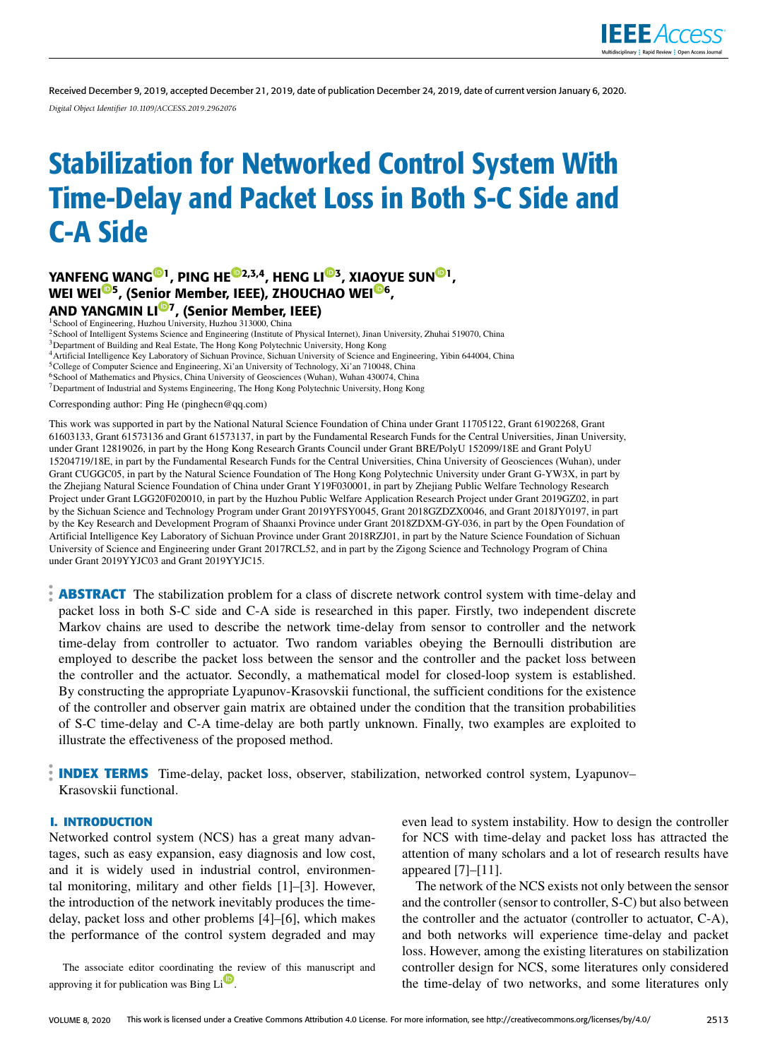

Received December 9, 2019, accepted December 21, 2019, date of publication December 24, 2019, date of current version January 6, 2020. *Digital Object Identifier 10.1109/ACCESS.2019.2962076*

# Stabilization for Networked Control System With Time-Delay and Packet Loss in Both S-C Side and C-A Side

# YANFEN[G W](https://orcid.org/0000-0002-7566-2995)AN[G](https://orcid.org/0000-0001-7873-6577)<sup>©1</sup>, PING HE<sup>©[2](https://orcid.org/0000-0001-7340-9606),[3](https://orcid.org/0000-0002-3187-9041),4</sup>, HENG LI<sup>©3</sup>, XIA[OY](https://orcid.org/0000-0001-6981-748X)UE SU[N](https://orcid.org/0000-0001-5930-0938)<sup>©1</sup>, WEI WEI<sup>©5</sup>, (Sen[ior](https://orcid.org/0000-0002-4448-3310) Member, IEEE), ZHOUCHAO WEI<sup>©6</sup>, AND YANGMIN LI<sup>®7</sup>, (Senior Member, IEEE)

<sup>1</sup> School of Engineering, Huzhou University, Huzhou 313000, China

<sup>2</sup>School of Intelligent Systems Science and Engineering (Institute of Physical Internet), Jinan University, Zhuhai 519070, China

<sup>3</sup>Department of Building and Real Estate, The Hong Kong Polytechnic University, Hong Kong

<sup>4</sup>Artificial Intelligence Key Laboratory of Sichuan Province, Sichuan University of Science and Engineering, Yibin 644004, China

<sup>5</sup>College of Computer Science and Engineering, Xi'an University of Technology, Xi'an 710048, China

<sup>6</sup>School of Mathematics and Physics, China University of Geosciences (Wuhan), Wuhan 430074, China

<sup>7</sup>Department of Industrial and Systems Engineering, The Hong Kong Polytechnic University, Hong Kong

Corresponding author: Ping He (pinghecn@qq.com)

This work was supported in part by the National Natural Science Foundation of China under Grant 11705122, Grant 61902268, Grant 61603133, Grant 61573136 and Grant 61573137, in part by the Fundamental Research Funds for the Central Universities, Jinan University, under Grant 12819026, in part by the Hong Kong Research Grants Council under Grant BRE/PolyU 152099/18E and Grant PolyU 15204719/18E, in part by the Fundamental Research Funds for the Central Universities, China University of Geosciences (Wuhan), under Grant CUGGC05, in part by the Natural Science Foundation of The Hong Kong Polytechnic University under Grant G-YW3X, in part by the Zhejiang Natural Science Foundation of China under Grant Y19F030001, in part by Zhejiang Public Welfare Technology Research Project under Grant LGG20F020010, in part by the Huzhou Public Welfare Application Research Project under Grant 2019GZ02, in part by the Sichuan Science and Technology Program under Grant 2019YFSY0045, Grant 2018GZDZX0046, and Grant 2018JY0197, in part by the Key Research and Development Program of Shaanxi Province under Grant 2018ZDXM-GY-036, in part by the Open Foundation of Artificial Intelligence Key Laboratory of Sichuan Province under Grant 2018RZJ01, in part by the Nature Science Foundation of Sichuan University of Science and Engineering under Grant 2017RCL52, and in part by the Zigong Science and Technology Program of China under Grant 2019YYJC03 and Grant 2019YYJC15.

**ABSTRACT** The stabilization problem for a class of discrete network control system with time-delay and packet loss in both S-C side and C-A side is researched in this paper. Firstly, two independent discrete Markov chains are used to describe the network time-delay from sensor to controller and the network time-delay from controller to actuator. Two random variables obeying the Bernoulli distribution are employed to describe the packet loss between the sensor and the controller and the packet loss between the controller and the actuator. Secondly, a mathematical model for closed-loop system is established. By constructing the appropriate Lyapunov-Krasovskii functional, the sufficient conditions for the existence of the controller and observer gain matrix are obtained under the condition that the transition probabilities of S-C time-delay and C-A time-delay are both partly unknown. Finally, two examples are exploited to illustrate the effectiveness of the proposed method.

**INDEX TERMS** Time-delay, packet loss, observer, stabilization, networked control system, Lyapunov– Krasovskii functional.

# **I. INTRODUCTION**

Networked control system (NCS) has a great many advantages, such as easy expansion, easy diagnosis and low cost, and it is widely used in industrial control, environmental monitoring, military and other fields [1]–[3]. However, the introduction of the network inevitably produces the timedelay, packet loss and other problems [4]–[6], which makes the performance of the control system degraded and may

The associate editor coordinating [the](https://orcid.org/0000-0002-4780-1708) review of this manuscript and approving it for publication was Bing Li

even lead to system instability. How to design the controller for NCS with time-delay and packet loss has attracted the attention of many scholars and a lot of research results have appeared [7]–[11].

The network of the NCS exists not only between the sensor and the controller (sensor to controller, S-C) but also between the controller and the actuator (controller to actuator, C-A), and both networks will experience time-delay and packet loss. However, among the existing literatures on stabilization controller design for NCS, some literatures only considered the time-delay of two networks, and some literatures only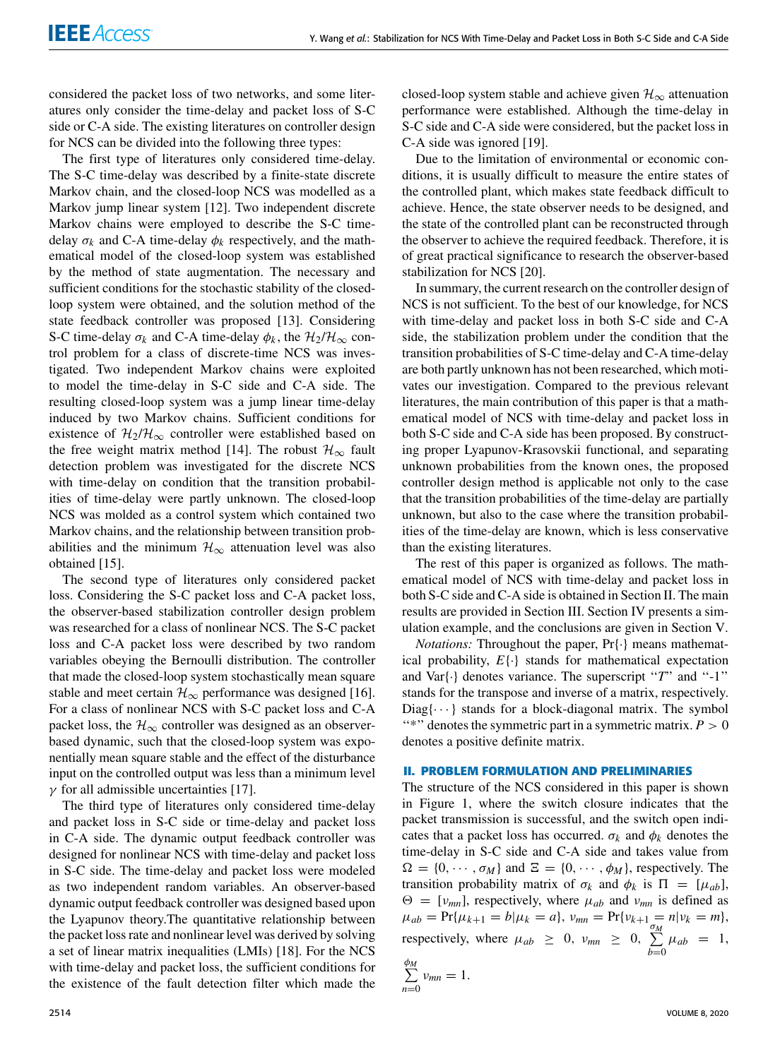considered the packet loss of two networks, and some literatures only consider the time-delay and packet loss of S-C side or C-A side. The existing literatures on controller design for NCS can be divided into the following three types:

The first type of literatures only considered time-delay. The S-C time-delay was described by a finite-state discrete Markov chain, and the closed-loop NCS was modelled as a Markov jump linear system [12]. Two independent discrete Markov chains were employed to describe the S-C timedelay  $\sigma_k$  and C-A time-delay  $\phi_k$  respectively, and the mathematical model of the closed-loop system was established by the method of state augmentation. The necessary and sufficient conditions for the stochastic stability of the closedloop system were obtained, and the solution method of the state feedback controller was proposed [13]. Considering S-C time-delay  $\sigma_k$  and C-A time-delay  $\phi_k$ , the  $\mathcal{H}_2/\mathcal{H}_{\infty}$  control problem for a class of discrete-time NCS was investigated. Two independent Markov chains were exploited to model the time-delay in S-C side and C-A side. The resulting closed-loop system was a jump linear time-delay induced by two Markov chains. Sufficient conditions for existence of  $\mathcal{H}_2/\mathcal{H}_{\infty}$  controller were established based on the free weight matrix method [14]. The robust  $\mathcal{H}_{\infty}$  fault detection problem was investigated for the discrete NCS with time-delay on condition that the transition probabilities of time-delay were partly unknown. The closed-loop NCS was molded as a control system which contained two Markov chains, and the relationship between transition probabilities and the minimum  $\mathcal{H}_{\infty}$  attenuation level was also obtained [15].

The second type of literatures only considered packet loss. Considering the S-C packet loss and C-A packet loss, the observer-based stabilization controller design problem was researched for a class of nonlinear NCS. The S-C packet loss and C-A packet loss were described by two random variables obeying the Bernoulli distribution. The controller that made the closed-loop system stochastically mean square stable and meet certain  $\mathcal{H}_{\infty}$  performance was designed [16]. For a class of nonlinear NCS with S-C packet loss and C-A packet loss, the  $\mathcal{H}_{\infty}$  controller was designed as an observerbased dynamic, such that the closed-loop system was exponentially mean square stable and the effect of the disturbance input on the controlled output was less than a minimum level  $\gamma$  for all admissible uncertainties [17].

The third type of literatures only considered time-delay and packet loss in S-C side or time-delay and packet loss in C-A side. The dynamic output feedback controller was designed for nonlinear NCS with time-delay and packet loss in S-C side. The time-delay and packet loss were modeled as two independent random variables. An observer-based dynamic output feedback controller was designed based upon the Lyapunov theory.The quantitative relationship between the packet loss rate and nonlinear level was derived by solving a set of linear matrix inequalities (LMIs) [18]. For the NCS with time-delay and packet loss, the sufficient conditions for the existence of the fault detection filter which made the

closed-loop system stable and achieve given  $\mathcal{H}_{\infty}$  attenuation performance were established. Although the time-delay in S-C side and C-A side were considered, but the packet loss in C-A side was ignored [19].

Due to the limitation of environmental or economic conditions, it is usually difficult to measure the entire states of the controlled plant, which makes state feedback difficult to achieve. Hence, the state observer needs to be designed, and the state of the controlled plant can be reconstructed through the observer to achieve the required feedback. Therefore, it is of great practical significance to research the observer-based stabilization for NCS [20].

In summary, the current research on the controller design of NCS is not sufficient. To the best of our knowledge, for NCS with time-delay and packet loss in both S-C side and C-A side, the stabilization problem under the condition that the transition probabilities of S-C time-delay and C-A time-delay are both partly unknown has not been researched, which motivates our investigation. Compared to the previous relevant literatures, the main contribution of this paper is that a mathematical model of NCS with time-delay and packet loss in both S-C side and C-A side has been proposed. By constructing proper Lyapunov-Krasovskii functional, and separating unknown probabilities from the known ones, the proposed controller design method is applicable not only to the case that the transition probabilities of the time-delay are partially unknown, but also to the case where the transition probabilities of the time-delay are known, which is less conservative than the existing literatures.

The rest of this paper is organized as follows. The mathematical model of NCS with time-delay and packet loss in both S-C side and C-A side is obtained in Section [II.](#page-1-0) The main results are provided in Section [III.](#page-2-0) Section [IV](#page-7-0) presents a simulation example, and the conclusions are given in Section [V.](#page-8-0)

*Notations:* Throughout the paper, Pr{·} means mathematical probability, *E*{·} stands for mathematical expectation and Var{·} denotes variance. The superscript "*T*" and "-1" stands for the transpose and inverse of a matrix, respectively.  $Diag\{\cdots\}$  stands for a block-diagonal matrix. The symbol "\*" denotes the symmetric part in a symmetric matrix.  $P > 0$ denotes a positive definite matrix.

#### <span id="page-1-0"></span>**II. PROBLEM FORMULATION AND PRELIMINARIES**

The structure of the NCS considered in this paper is shown in Figure [1,](#page-2-1) where the switch closure indicates that the packet transmission is successful, and the switch open indicates that a packet loss has occurred.  $\sigma_k$  and  $\phi_k$  denotes the time-delay in S-C side and C-A side and takes value from  $\Omega = \{0, \dots, \sigma_M\}$  and  $\Xi = \{0, \dots, \phi_M\}$ , respectively. The transition probability matrix of  $\sigma_k$  and  $\phi_k$  is  $\Pi = [\mu_{ab}]$ ,  $\Theta = [\nu_{mn}]$ , respectively, where  $\mu_{ab}$  and  $\nu_{mn}$  is defined as  $\mu_{ab} = \Pr{\mu_{k+1} = b | \mu_k = a}, \ \nu_{mn} = \Pr{\nu_{k+1} = n | \nu_k = m},$ respectively, where  $\mu_{ab} \geq 0$ ,  $\nu_{mn} \geq 0$ ,  $\sum_{n=1}^{\infty}$  $\sum_{b=0}^{n} \mu_{ab} = 1,$ 

$$
\sum_{n=0}^{\phi_M} v_{mn} = 1.
$$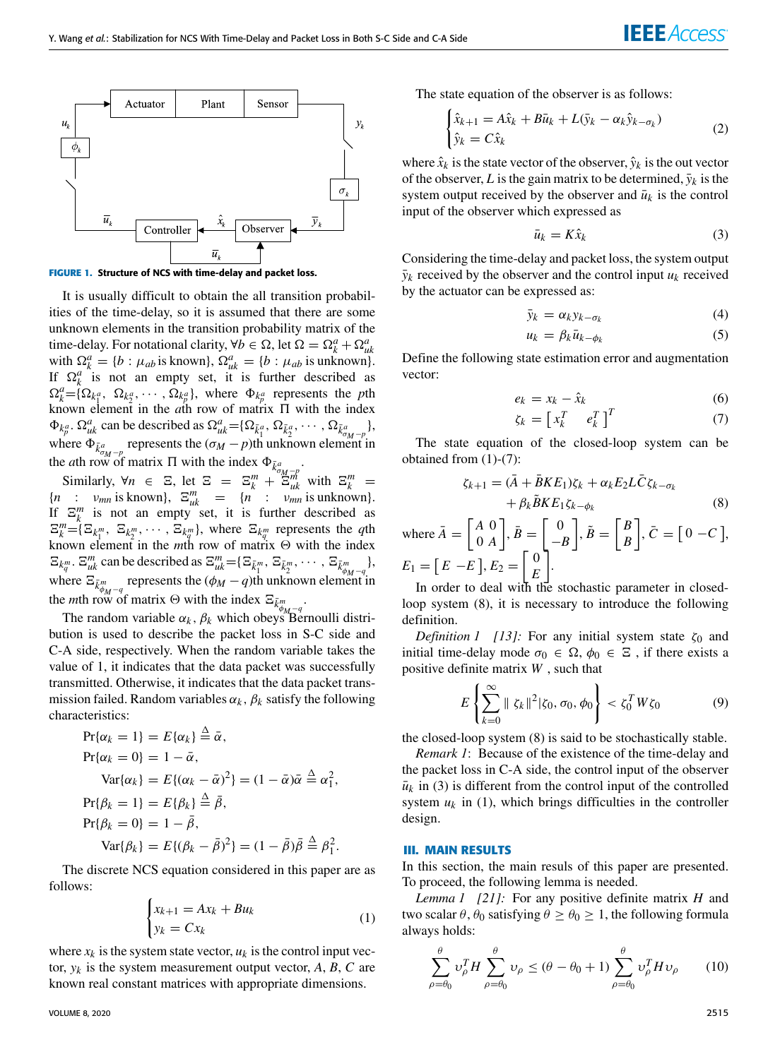

**FIGURE 1.** Structure of NCS with time-delay and packet loss.

It is usually difficult to obtain the all transition probabilities of the time-delay, so it is assumed that there are some unknown elements in the transition probability matrix of the time-delay. For notational clarity,  $\forall b \in \Omega$ , let  $\Omega = \Omega_k^a + \Omega_{uk}^a$ with  $\Omega_k^a = \{b : \mu_{ab} \text{ is known}\}, \Omega_{uk}^a = \{b : \mu_{ab} \text{ is unknown}\}.$ If  $\Omega_k^a$  is not an empty set, it is further described as  $\Omega_k^a = \{ \Omega_{k_1^a}, \ \Omega_{k_2^a}, \ \cdots, \Omega_{k_p^a} \}$ , where  $\Phi_{k_p^a}$  represents the *p*th known element in the  $a$ th row of matrix  $\Pi$  with the index  $\Phi_{k_p^a}$ .  $\Omega_{uk}^a$  can be described as  $\Omega_{uk}^a = {\Omega_{\bar{k}_1^a}, \Omega_{\bar{k}_2^a}, \cdots, \Omega_{\bar{k}_{\sigma_{M-p}}^a}}$ , where  $\Phi_{\bar{k}^a_{\sigma_M - p}}$  represents the  $(\sigma_M - p)$ th unknown element in the *a*th row of matrix  $\Pi$  with the index  $\Phi_{\bar{k}^a_{\sigma M} - \bar{p}}$ .

Similarly,  $\forall n \in \mathbb{E}$ , let  $\mathbb{E} = \mathbb{E}_k^m + \mathbb{E}_{uk}^m$  with  $\mathbb{E}_k^m =$  ${n : v_{mn}$  is known},  $\Xi_{uk}^{m} = {n : v_{mn}$  is unknown}. If  $\Xi_k^m$  is not an empty set, it is further described as  $\Xi_k^m = {\{\Xi_{k_1^m}, \ \Xi_{k_2^m}, \ \cdots, \Xi_{k_q^m}\}}$ , where  $\Xi_{k_q^m}$  represents the *q*th known element in the *m*th row of matrix  $\Theta$  with the index  $\Xi_{k_q^m}$ .  $\Xi_{uR}^m$  can be described as  $\Xi_{uR}^m = {\Xi_{\bar{k}_1^m}, \Xi_{\bar{k}_2^m}, \cdots, \Xi_{\bar{k}_{\phi_{M-q}}^m},$ where  $\Xi_{\bar{k}^m_{\phi_M-q}}$  represents the  $(\phi_M-q)$ th unknown element in the *m*th row of matrix  $\Theta$  with the index  $\Xi_{\bar{k}^m_{\phi_{M-1}}}$ .

The random variable  $\alpha_k$ ,  $\beta_k$  which obeys Bernoulli distribution is used to describe the packet loss in S-C side and C-A side, respectively. When the random variable takes the value of 1, it indicates that the data packet was successfully transmitted. Otherwise, it indicates that the data packet transmission failed. Random variables  $\alpha_k$ ,  $\beta_k$  satisfy the following characteristics:

$$
Pr{\alpha_k = 1} = E{\alpha_k} \triangleq \bar{\alpha},
$$
  
\n
$$
Pr{\alpha_k = 0} = 1 - \bar{\alpha},
$$
  
\n
$$
Var{\alpha_k} = E{\alpha_k - \bar{\alpha}}^2 = (1 - \bar{\alpha})\bar{\alpha} \triangleq \alpha_1^2,
$$
  
\n
$$
Pr{\beta_k = 1} = E{\beta_k} \triangleq \bar{\beta},
$$
  
\n
$$
Pr{\beta_k = 0} = 1 - \bar{\beta},
$$
  
\n
$$
Var{\beta_k} = E{\beta_k - \bar{\beta}}^2 = (1 - \bar{\beta})\bar{\beta} \triangleq \beta_1^2.
$$

The discrete NCS equation considered in this paper are as follows:

<span id="page-2-2"></span>
$$
\begin{cases} x_{k+1} = Ax_k + Bu_k \\ y_k = Cx_k \end{cases} \tag{1}
$$

where  $x_k$  is the system state vector,  $u_k$  is the control input vector,  $y_k$  is the system measurement output vector,  $A$ ,  $B$ ,  $C$  are known real constant matrices with appropriate dimensions.

VOLUME 8, 2020 2515

The state equation of the observer is as follows:

$$
\begin{cases} \hat{x}_{k+1} = A\hat{x}_k + B\bar{u}_k + L(\bar{y}_k - \alpha_k \hat{y}_{k-\sigma_k}) \\ \hat{y}_k = C\hat{x}_k \end{cases}
$$
 (2)

where  $\hat{x}_k$  is the state vector of the observer,  $\hat{y}_k$  is the out vector of the observer, *L* is the gain matrix to be determined,  $\bar{y}_k$  is the system output received by the observer and  $\bar{u}_k$  is the control input of the observer which expressed as

<span id="page-2-5"></span>
$$
\bar{u}_k = K\hat{x}_k \tag{3}
$$

<span id="page-2-1"></span>Considering the time-delay and packet loss, the system output  $\bar{y}_k$  received by the observer and the control input  $u_k$  received by the actuator can be expressed as:

$$
\bar{y}_k = \alpha_k y_{k - \sigma_k} \tag{4}
$$

$$
u_k = \beta_k \bar{u}_{k - \phi_k} \tag{5}
$$

Define the following state estimation error and augmentation vector:

<span id="page-2-3"></span>
$$
e_k = x_k - \hat{x}_k \tag{6}
$$

$$
\zeta_k = \begin{bmatrix} x_k^T & e_k^T \end{bmatrix}^T \tag{7}
$$

The state equation of the closed-loop system can be obtained from [\(1\)](#page-2-2)-[\(7\)](#page-2-3):

<span id="page-2-4"></span>
$$
\zeta_{k+1} = (\bar{A} + \bar{B}KE_1)\zeta_k + \alpha_k E_2 L \bar{C} \zeta_{k-\sigma_k} + \beta_k \tilde{B} KE_1 \zeta_{k-\phi_k}
$$
 (8)

where  $\bar{A} = \begin{bmatrix} A & 0 \\ 0 & A \end{bmatrix}$ 0 *A*  $\left[\begin{array}{c} \bar{B} \end{array}\right] = \left[\begin{array}{c} 0 \end{array}\right]$ −*B*  $\begin{bmatrix} \tilde{B} \end{bmatrix}$ ,  $\tilde{B} = \begin{bmatrix} B \\ B \end{bmatrix}$ *B*  $\vec{C} = [0 - C],$  $E_1 = [E - E], E_2 = [0,$ *E* ].

In order to deal with the stochastic parameter in closedloop system (8), it is necessary to introduce the following definition.

<span id="page-2-7"></span>*Definition 1 [13]:* For any initial system state  $\zeta_0$  and initial time-delay mode  $\sigma_0 \in \Omega$ ,  $\phi_0 \in \Xi$ , if there exists a positive definite matrix *W* , such that

$$
E\left\{\sum_{k=0}^{\infty} \|\zeta_k\|^2 |\zeta_0, \sigma_0, \phi_0\right\} < \zeta_0^T W \zeta_0 \tag{9}
$$

the closed-loop system [\(8\)](#page-2-4) is said to be stochastically stable.

*Remark 1*: Because of the existence of the time-delay and the packet loss in C-A side, the control input of the observer  $\bar{u}_k$  in [\(3\)](#page-2-5) is different from the control input of the controlled system  $u_k$  in [\(1\)](#page-2-2), which brings difficulties in the controller design.

# <span id="page-2-0"></span>**III. MAIN RESULTS**

In this section, the main resuls of this paper are presented. To proceed, the following lemma is needed.

*Lemma 1 [21]:* For any positive definite matrix *H* and two scalar  $\theta$ ,  $\theta_0$  satisfying  $\theta \ge \theta_0 \ge 1$ , the following formula always holds:

<span id="page-2-6"></span>
$$
\sum_{\rho=\theta_0}^{\theta} \nu_{\rho}^T H \sum_{\rho=\theta_0}^{\theta} \nu_{\rho} \le (\theta - \theta_0 + 1) \sum_{\rho=\theta_0}^{\theta} \nu_{\rho}^T H \nu_{\rho} \qquad (10)
$$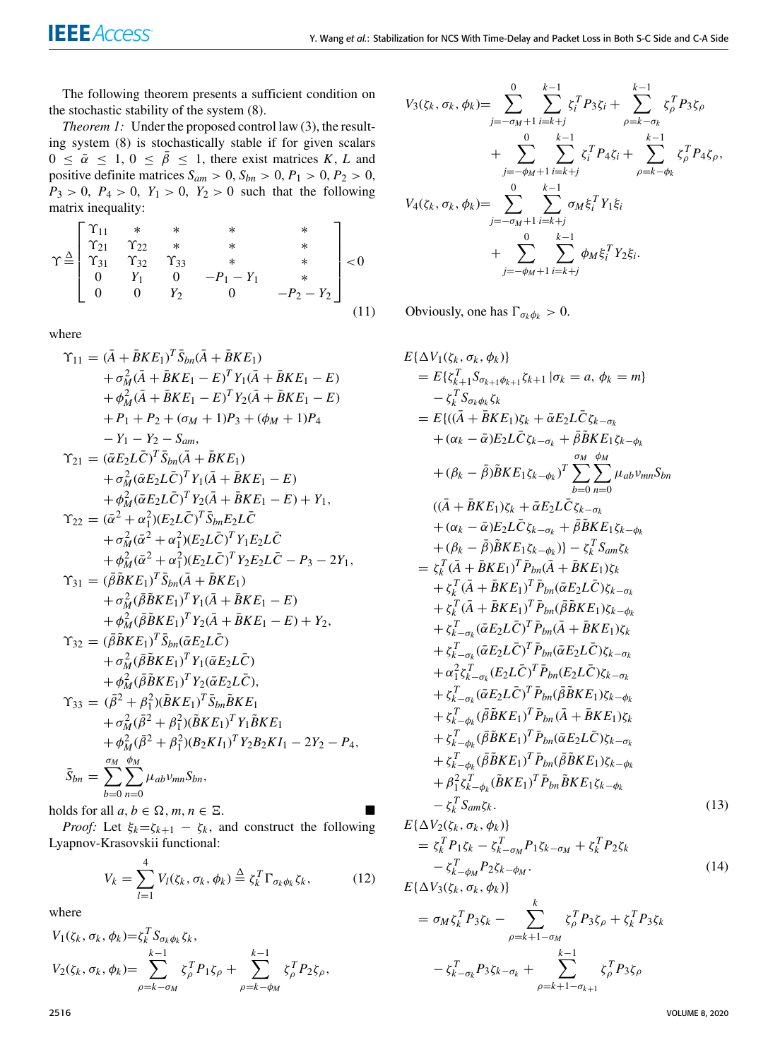The following theorem presents a sufficient condition on the stochastic stability of the system [\(8\)](#page-2-4).

*Theorem 1:* Under the proposed control law [\(3\)](#page-2-5), the resulting system [\(8\)](#page-2-4) is stochastically stable if for given scalars  $0 \leq \bar{\alpha} \leq 1, 0 \leq \bar{\beta} \leq 1$ , there exist matrices *K*, *L* and positive definite matrices  $S_{am} > 0$ ,  $S_{bn} > 0$ ,  $P_1 > 0$ ,  $P_2 > 0$ ,  $P_3 > 0$ ,  $P_4 > 0$ ,  $Y_1 > 0$ ,  $Y_2 > 0$  such that the following matrix inequality:

<span id="page-3-2"></span>
$$
\Upsilon \stackrel{\triangle}{=} \begin{bmatrix} \Upsilon_{11} & * & * & * & * & * \\ \Upsilon_{21} & \Upsilon_{22} & * & * & * & * \\ \Upsilon_{31} & \Upsilon_{32} & \Upsilon_{33} & * & * & * \\ 0 & Y_1 & 0 & -P_1 - Y_1 & * \\ 0 & 0 & Y_2 & 0 & -P_2 - Y_2 \end{bmatrix} < 0
$$
\n(11)

where

$$
\begin{split}\n\Upsilon_{11} &= (\bar{A} + \bar{B}KE_1)^T \bar{S}_{bn}(\bar{A} + \bar{B}KE_1) \\
&+ \sigma_M^2 (\bar{A} + \bar{B}KE_1 - E)^T Y_1(\bar{A} + \bar{B}KE_1 - E) \\
&+ \phi_M^2 (\bar{A} + \bar{B}KE_1 - E)^T Y_2(\bar{A} + \bar{B}KE_1 - E) \\
&+ P_1 + P_2 + (\sigma_M + 1)P_3 + (\phi_M + 1)P_4 \\
&- Y_1 - Y_2 - S_{am}, \\
\Upsilon_{21} &= (\bar{\alpha}E_2 L \bar{C})^T \bar{S}_{bn}(\bar{A} + \bar{B}KE_1) \\
&+ \sigma_M^2 (\bar{\alpha}E_2 L \bar{C})^T Y_1(\bar{A} + \bar{B}KE_1 - E) \\
&+ \phi_M^2 (\bar{\alpha}E_2 L \bar{C})^T Y_2(\bar{A} + \bar{B}KE_1 - E) + Y_1, \\
\Upsilon_{22} &= (\bar{\alpha}^2 + \alpha_1^2)(E_2 L \bar{C})^T \bar{S}_{bn} E_2 L \bar{C} \\
&+ \sigma_M^2 (\bar{\alpha}^2 + \alpha_1^2)(E_2 L \bar{C})^T Y_1 E_2 L \bar{C} \\
&+ \phi_M^2 (\bar{\alpha}^2 + \alpha_1^2)(E_2 L \bar{C})^T Y_2 E_2 L \bar{C} - P_3 - 2Y_1, \\
\Upsilon_{31} &= (\bar{\beta} \bar{B}KE_1)^T \bar{S}_{bn}(\bar{A} + \bar{B}KE_1) \\
&+ \sigma_M^2 (\bar{\beta} BKE_1)^T Y_1(\bar{A} + \bar{B}KE_1 - E) \\
&+ \phi_M^2 (\bar{\beta} BKE_1)^T Y_1(\bar{\alpha}E_2 L \bar{C}) \\
&+ \sigma_M^2 (\bar{\beta} BKE_1)^T Y_1(\bar{\alpha}E_2 L \bar{C}) \\
&+ \sigma_M^2 (\bar{\beta} BKE_1)^T Y_2(\bar{\alpha}E_2 L \bar{C}), \\
\Upsilon_{33} &= (\bar{\beta}^2 + \beta_1^2)(\bar{B}KE_1)^T \bar{S}_{bn} \bar{B}KE_1 \\
&+ \sigma_M
$$

holds for all  $a, b \in \Omega$ ,  $m, n \in \Xi$ .

*Proof:* Let  $\xi_k = \zeta_{k+1} - \zeta_k$ , and construct the following Lyapnov-Krasovskii functional:

$$
V_k = \sum_{l=1}^4 V_l(\zeta_k, \sigma_k, \phi_k) \stackrel{\Delta}{=} \zeta_k^T \Gamma_{\sigma_k \phi_k} \zeta_k, \tag{12}
$$

where

<span id="page-3-0"></span>
$$
V_1(\zeta_k, \sigma_k, \phi_k) = \zeta_k^T S_{\sigma_k \phi_k} \zeta_k,
$$
  
\n
$$
V_2(\zeta_k, \sigma_k, \phi_k) = \sum_{\rho = k - \sigma_M}^{k-1} \zeta_{\rho}^T P_1 \zeta_{\rho} + \sum_{\rho = k - \phi_M}^{k-1} \zeta_{\rho}^T P_2 \zeta_{\rho},
$$

<span id="page-3-1"></span>
$$
V_{3}(\zeta_{k}, \sigma_{k}, \phi_{k}) = \sum_{j=-\sigma_{M}+1}^{0} \sum_{i=k+j}^{k-1} \zeta_{i}^{T} P_{3} \zeta_{i} + \sum_{\rho=k-\sigma_{k}}^{k-1} \zeta_{\rho}^{T} P_{3} \zeta_{\rho} + \sum_{j=-\phi_{M}+1}^{0} \sum_{i=k+j}^{k-1} \zeta_{i}^{T} P_{4} \zeta_{i} + \sum_{\rho=k-\phi_{k}}^{k-1} \zeta_{\rho}^{T} P_{4} \zeta_{\rho}, V_{4}(\zeta_{k}, \sigma_{k}, \phi_{k}) = \sum_{j=-\sigma_{M}+1}^{0} \sum_{i=k+j}^{k-1} \sigma_{M} \xi_{i}^{T} Y_{1} \xi_{i} + \sum_{j=-\phi_{M}+1}^{0} \sum_{i=k+j}^{k-1} \phi_{M} \xi_{i}^{T} Y_{2} \xi_{i}.
$$

Obviously, one has  $\Gamma_{\sigma_k \phi_k} > 0$ .

$$
E{\Delta V_1(\zeta_k, \sigma_k, \phi_k)}
$$
\n
$$
= E{\zeta_k^T \cdot S_{\sigma_k \phi_k} S_k}
$$
\n
$$
= E{\{(\bar{A} + \bar{B}KE_1) \zeta_k + \bar{\alpha} E_2 L \bar{C} \zeta_{k-\sigma_k}\}\}
$$
\n
$$
= E{\{(\bar{A} + \bar{B}KE_1) \zeta_k + \bar{\alpha} E_2 L \bar{C} \zeta_{k-\sigma_k}\}\}
$$
\n
$$
+ (\alpha_k - \bar{\alpha}) E_2 L \bar{C} \zeta_{k-\sigma_k} + \bar{\beta} \bar{B} KE_1 \zeta_{k-\phi_k}
$$
\n
$$
+ (\beta_k - \bar{\beta}) \bar{B} KE_1 \zeta_{k-\phi_k} \right)^T \sum_{b=0}^{m} \sum_{n=0}^{m} \mu_{ab} \nu_{mn} S_{bn}
$$
\n
$$
= (\bar{A} + \bar{B}KE_1) \zeta_k + \bar{\alpha} E_2 L \bar{C} \zeta_{k-\sigma_k}
$$
\n
$$
+ (\alpha_k - \bar{\alpha}) E_2 L \bar{C} \zeta_{k-\sigma_k} + \bar{\beta} \bar{B} KE_1 \zeta_{k-\phi_k}
$$
\n
$$
+ (\beta_k - \bar{\beta}) \bar{B} KE_1 \zeta_{k-\phi_k} \right) - \zeta_k^T S_{am} \zeta_k
$$
\n
$$
= \zeta_k^T (\bar{A} + \bar{B}KE_1)^T \bar{P}_{bn} (\bar{A} + \bar{B}KE_1) \zeta_k
$$
\n
$$
+ \zeta_k^T (\bar{A} + \bar{B}KE_1)^T \bar{P}_{bn} (\bar{\alpha} E_2 L \bar{C}) \zeta_{k-\sigma_k}
$$
\n
$$
+ \zeta_k^T (\bar{A} + \bar{B}KE_1)^T \bar{P}_{bn} (\bar{\alpha} E_2 L \bar{C}) \zeta_{k-\sigma_k}
$$
\n
$$
+ \zeta_k^T (\bar{\alpha} E_2 L \bar{C})^T \bar{P}_{bn} (\bar{\alpha} E_2 L \bar{C}) \zeta_{k-\sigma_k}
$$
\n
$$
+ \zeta_k^T_{-\sigma_k} (\bar{\alpha} E_2 L \bar{C})^T \bar{P}_{bn} (\bar
$$

$$
E{\Delta V_2(\zeta_k, \sigma_k, \phi_k)}
$$
  
=  $\zeta_k^T P_1 \zeta_k - \zeta_{k-\sigma_M}^T P_1 \zeta_{k-\sigma_M} + \zeta_k^T P_2 \zeta_k$   

$$
- \zeta_{k-\phi_M}^T P_2 \zeta_{k-\phi_M}.
$$
  

$$
E{\Delta V_3(\zeta_k, \sigma_k, \phi_k)}
$$
 (14)

$$
= \sigma_M \zeta_k^T P_3 \zeta_k - \sum_{\rho=k+1-\sigma_M}^k \zeta_{\rho}^T P_3 \zeta_{\rho} + \zeta_k^T P_3 \zeta_k - \zeta_{k-\sigma_k}^T P_3 \zeta_{k-\sigma_k} + \sum_{\rho=k+1-\sigma_{k+1}}^{k-1} \zeta_{\rho}^T P_3 \zeta_{\rho}
$$

2516 VOLUME 8, 2020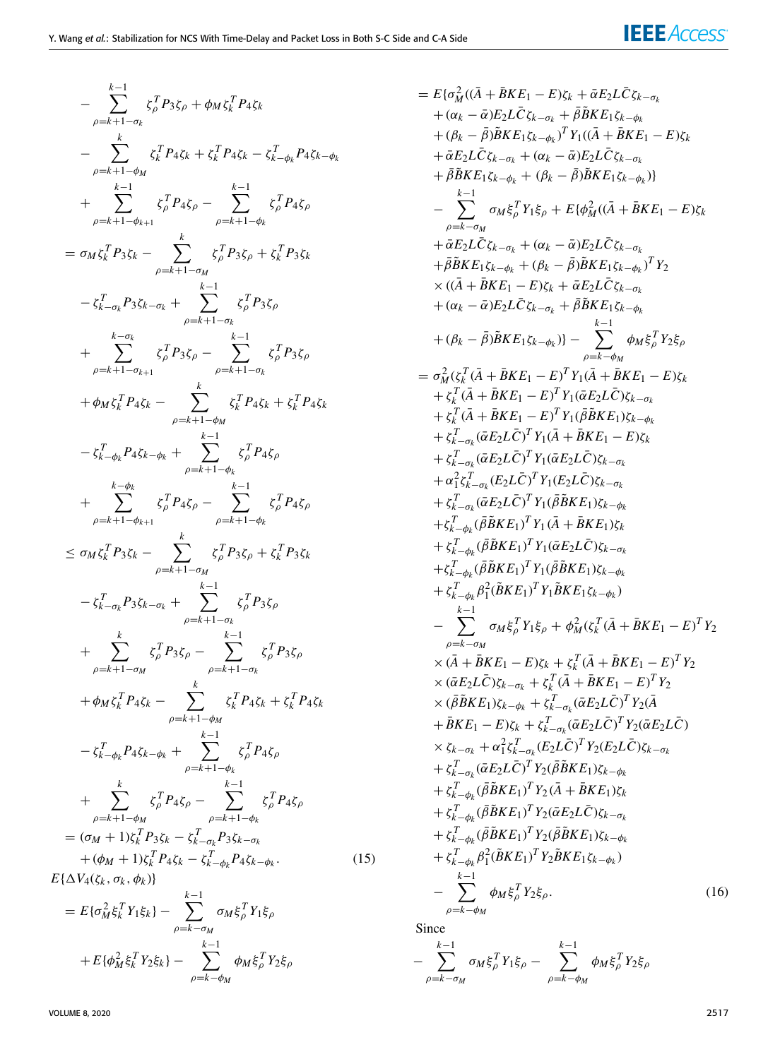$$
-\sum_{\rho=k+1-\sigma_{k}}^{k-1} \zeta_{\rho}^{T} P_{3}\zeta_{\rho} + \phi_{M}\zeta_{k}^{T} P_{4}\zeta_{k}
$$
\n
$$
-\sum_{\rho=k+1-\sigma_{k}}^{k} \zeta_{k}^{T} P_{4}\zeta_{k} + \zeta_{k}^{T} P_{4}\zeta_{k} - \zeta_{k}^{T} P_{4}\zeta_{k} - \zeta_{k}^{T} P_{4}\zeta_{k} - \phi_{k}
$$
\n
$$
+\sum_{\rho=k+1-\sigma_{k+1}}^{k-1} \zeta_{\rho}^{T} P_{4}\zeta_{\rho} - \sum_{\rho=k+1-\sigma_{k}}^{k-1} \zeta_{\rho}^{T} P_{3}\zeta_{\rho}
$$
\n
$$
=\sigma_{M}\zeta_{k}^{T} P_{3}\zeta_{k} - \sum_{\rho=k+1-\sigma_{M}}^{k} \zeta_{\rho}^{T} P_{3}\zeta_{\rho} + \zeta_{k}^{T} P_{3}\zeta_{k}
$$
\n
$$
-\zeta_{k-\sigma_{k}}^{T} P_{3}\zeta_{k-\sigma_{k}} + \sum_{\rho=k+1-\sigma_{k}}^{k-1} \zeta_{\rho}^{T} P_{3}\zeta_{\rho}
$$
\n
$$
+\phi_{M}\zeta_{k}^{T} P_{4}\zeta_{k} - \sum_{\rho=k+1-\sigma_{k}}^{k} \zeta_{k}^{T} P_{4}\zeta_{k} + \zeta_{k}^{T} P_{4}\zeta_{k}
$$
\n
$$
-\zeta_{k-\sigma_{k}}^{T} P_{4}\zeta_{k} - \sum_{\rho=k+1-\sigma_{k}}^{k} \zeta_{\rho}^{T} P_{4}\zeta_{\rho} - \zeta_{k-1}^{T} P_{4}\zeta_{\rho}
$$
\n
$$
+\sum_{\rho=k+1-\sigma_{k+1}}^{k-1} \zeta_{\rho}^{T} P_{4}\zeta_{\rho} - \sum_{\rho=k+1-\sigma_{k}}^{k-1} \zeta_{\rho}^{T} P_{4}\zeta_{\rho}
$$
\n
$$
-\zeta_{k-\sigma_{k}}^{T} P_{3}\zeta_{k} - \sum_{\rho=k+1-\sigma_{k}}^{k} \zeta_{\rho}^{T} P_{3}\zeta_{\rho}
$$
\n
$$
-\zeta
$$

= 
$$
E{\{\sigma_M^2((\bar{A} + \bar{B}KE_1 - E)E_k + \bar{\alpha}E_2L\bar{C}\xi_{k-\sigma_k}\}\}\{(\bar{a} + \bar{B}KE_1\bar{C}E_k - \sigma_k + \bar{B}\bar{B}KE_1\bar{\xi}_{k-\sigma_k}\}\})
$$
  
\n+  $(\bar{B}_k - \bar{B})\bar{B}KE_1\bar{\xi}_{k-\sigma_k} + \bar{B}\bar{B}KE_1\bar{\xi}_{k-\sigma_k}$   
\n+  $(\bar{B}_k - \bar{B})\bar{B}KE_1\bar{\xi}_{k-\sigma_k} + (\alpha_k - \bar{\alpha})E_2L\bar{C}\xi_{k-\sigma_k}$   
\n+  $\bar{\alpha}E_2L\bar{C}\xi_{k-\sigma_k} + (\beta_k - \bar{B})\bar{B}KE_1\bar{\xi}_{k-\sigma_k}$ )}]  
\n-  $\sum_{\rho=k-\sigma_M} \sigma_M\xi_{\rho}^T Y_1\xi_{\rho} + E{\{\phi_M^2((\bar{A} + \bar{B}KE_1 - E)\xi_k\}\}\}\})$   
\n+  $\bar{\alpha}E_2L\bar{C}\xi_{k-\sigma_k} + (\alpha_k - \bar{\alpha})E_2L\bar{C}\xi_{k-\sigma_k}$   
\n+  $\bar{\beta}E_2K\bar{E}_1\bar{\xi}_{k-\sigma_k} + (\beta_k - \bar{B})\bar{B}KE_1\bar{\xi}_{k-\sigma_k}$ )  
\n+  $(\alpha_k - \bar{\alpha})E_2L\bar{C}\xi_{k-\sigma_k}$  +  $\bar{\beta}BE_1\bar{\xi}_{k-\sigma_k}$ )  
\n+  $(\alpha_k - \bar{\alpha})E_2L\bar{C}\xi_{k-\sigma_k}$  +  $\bar{\beta}BE_1\bar{\xi}_{k-\sigma_k}$ )  
\n+  $(\beta_k - \bar{B})\bar{B}KE_1\bar{\xi}_{k-\sigma_k}$ )  
\n+  $(\beta_k - \bar{B})\bar{B}KE_1\bar{\xi}_{k-\sigma_k}$ )  
\n+  $\langle \xi_k(\bar{A} + \bar{B}KE_1 - E)^T Y_1(\bar{A}EE_1 - E)\xi_k$   
\n+  $\xi_k(\bar{A} + \bar{B}KE_1 - E)^T Y_1(\bar{B}EK_1)\bar{\xi$ 

Si

$$
-\sum_{\rho=k-\sigma_M}^{k-1} \sigma_M \xi_\rho^T Y_1 \xi_\rho - \sum_{\rho=k-\phi_M}^{k-1} \phi_M \xi_\rho^T Y_2 \xi_\rho
$$

 $+ E\{\phi_M^2 \xi_k^T Y_2 \xi_k\} - \sum$ 

*k*−1

 $φ_M$ ξ $^T_\rho$ Υ2ξ<sub>ρ</sub>

ρ=*k*−φ*<sup>M</sup>*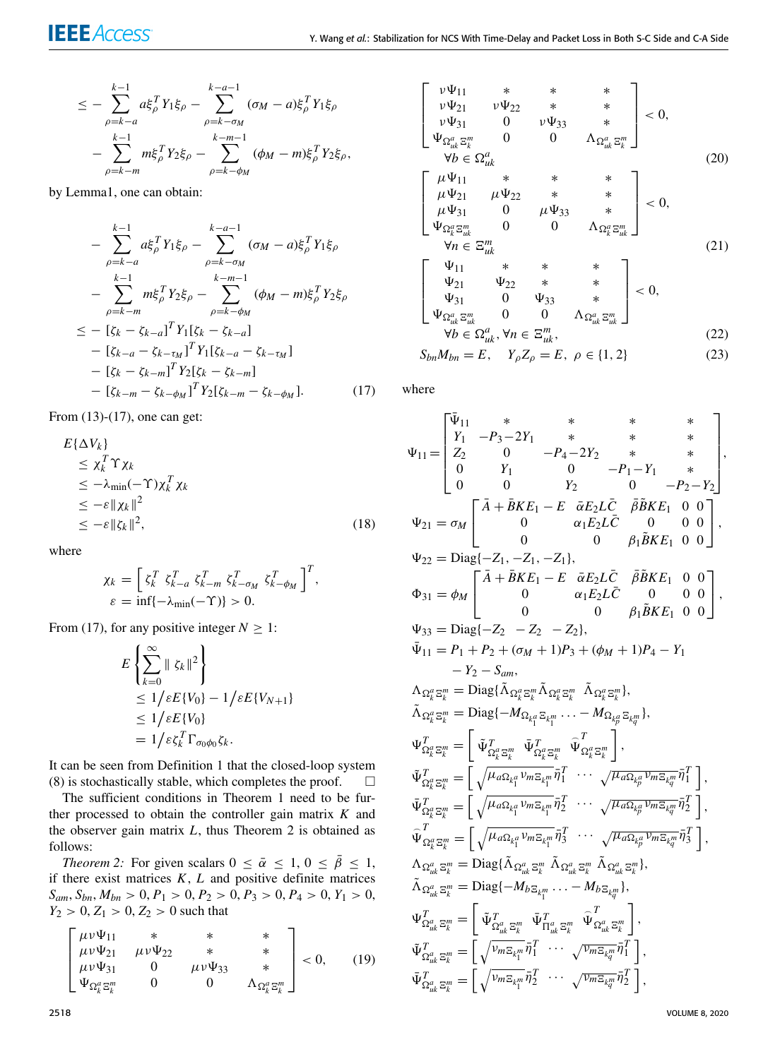$$
\leq - \sum_{\rho=k-a}^{k-1} a \xi_{\rho}^{T} Y_{1} \xi_{\rho} - \sum_{\rho=k-\sigma_{M}}^{k-a-1} (\sigma_{M}-a) \xi_{\rho}^{T} Y_{1} \xi_{\rho} \n- \sum_{\rho=k-m}^{k-1} m \xi_{\rho}^{T} Y_{2} \xi_{\rho} - \sum_{\rho=k-\phi_{M}}^{k-m-1} (\phi_{M}-m) \xi_{\rho}^{T} Y_{2} \xi_{\rho},
$$

by Lemm[a1,](#page-2-6) one can obtain:

<span id="page-5-0"></span>
$$
- \sum_{\rho=k-a}^{k-1} a \xi_{\rho}^{T} Y_{1} \xi_{\rho} - \sum_{\rho=k-\sigma_{M}}^{k-a-1} (\sigma_{M} - a) \xi_{\rho}^{T} Y_{1} \xi_{\rho} - \sum_{\rho=k-m}^{k-1} m \xi_{\rho}^{T} Y_{2} \xi_{\rho} - \sum_{\rho=k-\phi_{M}}^{k-m-1} (\phi_{M} - m) \xi_{\rho}^{T} Y_{2} \xi_{\rho} \n\leq - [\zeta_{k} - \zeta_{k-a}]^{T} Y_{1} [\zeta_{k} - \zeta_{k-a}] - [\zeta_{k-a} - \zeta_{k-m}]^{T} Y_{1} [\zeta_{k-a} - \zeta_{k-\tau_{M}}] - [\zeta_{k} - \zeta_{k-m}]^{T} Y_{2} [\zeta_{k} - \zeta_{k-m}] - [\zeta_{k-m} - \zeta_{k-\phi_{M}}]^{T} Y_{2} [\zeta_{k-m} - \zeta_{k-\phi_{M}}]. \tag{17}
$$

From [\(13\)](#page-3-0)-[\(17\)](#page-5-0), one can get:

$$
E{\Delta V_k}
$$
  
\n
$$
\leq \chi_k^T \Upsilon \chi_k
$$
  
\n
$$
\leq -\lambda_{\min}(-\Upsilon)\chi_k^T \chi_k
$$
  
\n
$$
\leq -\varepsilon \| \chi_k \|^2
$$
  
\n
$$
\leq -\varepsilon \| \zeta_k \|^2,
$$
\n(18)

where

$$
\chi_k = \left[ \zeta_k^T \zeta_{k-a}^T \zeta_{k-m}^T \zeta_{k-\sigma_M}^T \zeta_{k-\phi_M}^T \right]^T,
$$
  

$$
\varepsilon = \inf \{-\lambda_{\min}(-\Upsilon)\} > 0.
$$

From [\(17\)](#page-5-0), for any positive integer  $N \geq 1$ :

$$
E\left\{\sum_{k=0}^{\infty} \|\zeta_k\|^2\right\}\leq 1/\varepsilon E\{V_0\} - 1/\varepsilon E\{V_{N+1}\}\leq 1/\varepsilon E\{V_0\}= 1/\varepsilon \zeta_k^T \Gamma_{\sigma_0\phi_0} \zeta_k.
$$

It can be seen from Definition [1](#page-2-7) that the closed-loop system [\(8\)](#page-2-4) is stochastically stable, which completes the proof.  $\square$ 

The sufficient conditions in Theorem [1](#page-3-1) need to be further processed to obtain the controller gain matrix *K* and the observer gain matrix *L*, thus Theorem [2](#page-5-1) is obtained as follows:

<span id="page-5-1"></span>*Theorem 2:* For given scalars  $0 \le \bar{\alpha} \le 1$ ,  $0 \le \bar{\beta} \le 1$ , if there exist matrices *K*, *L* and positive definite matrices  $S_{am}$ ,  $S_{bn}$ ,  $M_{bn} > 0$ ,  $P_1 > 0$ ,  $P_2 > 0$ ,  $P_3 > 0$ ,  $P_4 > 0$ ,  $Y_1 > 0$ ,  $Y_2 > 0, Z_1 > 0, Z_2 > 0$  such that

<span id="page-5-2"></span>
$$
\begin{bmatrix}\n\mu v \Psi_{11} & * & * & * \\
\mu v \Psi_{21} & \mu v \Psi_{22} & * & * \\
\mu v \Psi_{31} & 0 & \mu v \Psi_{33} & * \\
\Psi_{\Omega_k^a \Xi_k^m} & 0 & 0 & \Lambda_{\Omega_k^a \Xi_k^m}\n\end{bmatrix} < 0, \quad (19)
$$

$$
\begin{bmatrix}\nv\Psi_{11} & * & * & * & * \\
v\Psi_{21} & v\Psi_{22} & * & * & * \\
v\Psi_{31} & 0 & v\Psi_{33} & * & * \\
\Psi_{\Omega_{uk}^a \Xi_k^m} & 0 & 0 & \Lambda_{\Omega_{uk}^a \Xi_k^m}\n\end{bmatrix} < 0,
$$
\n
$$
\begin{bmatrix}\n\mu\Psi_{11} & * & * & * \\
\mu\Psi_{21} & \mu\Psi_{22} & * & * \\
\mu\Psi_{31} & 0 & \mu\Psi_{33} & * \\
\Psi_{\Omega_k^a \Xi_{uk}^m} & 0 & 0 & \Lambda_{\Omega_k^a \Xi_{uk}^m}\n\end{bmatrix} < 0,
$$
\n
$$
\begin{bmatrix}\n\Psi_{11} & * & * & * \\
\Psi_{21} & \Psi_{22} & * & * \\
\Psi_{31} & 0 & \Psi_{33} & * \\
\Psi_{31} & 0 & \Psi_{33} & * \\
\Psi_{31} & 0 & \Psi_{33} & * \\
\Psi_{\Omega_{uk}^a \Xi_{uk}^m} & 0 & 0 & \Lambda_{\Omega_{uk}^a \Xi_{uk}^m}\n\end{bmatrix} < 0,
$$
\n
$$
\begin{bmatrix}\n\Psi_{11} & * & * & * \\
\Psi_{21} & \Psi_{22} & * & * \\
\Psi_{31} & 0 & \Psi_{33} & * \\
\Psi_{\Omega_{uk}^a \Xi_{uk}^m} & 0 & 0 & \Lambda_{\Omega_{uk}^a \Xi_{uk}^m}\n\end{bmatrix} < 0,
$$
\n
$$
\begin{bmatrix}\n\text{Var}_{11} & * & * & * \\
\Psi_{21} & \Psi_{22} & * & * \\
\Psi_{31} & 0 & \Psi_{33} & * \\
\Psi_{32} & \Psi_{32} & * & * \\
\Psi_{33} & 0 & \Lambda_{\Omega_{uk}^a \Xi_{uk}^m}\n\end{bmatrix} < 0,
$$
\n
$$
\begin{bmatrix}\n\text{Var}_{12} & * & * & * \\
\Psi_{21} & \Psi_{22} & * & * \\
\Psi_{31} & 0 & \Psi_{33} & * \\
\Psi_{32} & \Psi_{33} & * & * \\
\Psi_{33} & 0 & \Lambda_{\Omega_{uk}^a \Xi_{
$$

where

$$
\Psi_{11} = \begin{bmatrix}\n\bar{\Psi}_{11} & * & * & * & * & * \\
Y_1 & -P_3 - 2Y_1 & * & * & * & * \\
Z_2 & 0 & -P_4 - 2Y_2 & * & * & * \\
0 & Y_1 & 0 & -P_1 - Y_1 & * \\
0 & 0 & Y_2 & 0 & -P_2 - Y_2\n\end{bmatrix},
$$
\n
$$
\Psi_{21} = \sigma_M \begin{bmatrix}\n\bar{A} + \bar{B}KE_1 - E & \bar{\alpha}E_2L\bar{C} & \bar{\beta}\bar{B}KE_1 & 0 & 0 \\
0 & \alpha_1E_2L\bar{C} & 0 & 0 & 0 \\
0 & 0 & \beta_1\bar{B}KE_1 & 0 & 0\n\end{bmatrix},
$$
\n
$$
\Psi_{22} = \text{Diag}\{-Z_1, -Z_1, -Z_1\},
$$
\n
$$
\Phi_{31} = \phi_M \begin{bmatrix}\n\bar{A} + \bar{B}KE_1 - E & \bar{\alpha}E_2L\bar{C} & \bar{\beta}\bar{B}KE_1 & 0 & 0 \\
0 & \alpha_1E_2L\bar{C} & 0 & 0 & 0 \\
0 & 0 & \beta_1\bar{B}KE_1 & 0 & 0\n\end{bmatrix},
$$
\n
$$
\Psi_{33} = \text{Diag}\{-Z_2 - Z_2 - Z_2\},
$$
\n
$$
\bar{\Psi}_{11} = P_1 + P_2 + (\sigma_M + 1)P_3 + (\phi_M + 1)P_4 - Y_1 - Y_2 - S_{am},
$$
\n
$$
\Lambda_{\Omega_k^a \Xi_k^m} = \text{Diag}\{\bar{\Lambda}_{\Omega_k^a \Xi_k^m} \bar{\Lambda}_{\Omega_k^a \Xi_k^m} & \bar{\Lambda}_{\Omega_k^a \Xi_k^m} \},
$$
\n
$$
\tilde{\Lambda}_{\Omega_k^a \Xi_k^m} = \begin{bmatrix}\n\tilde{\Psi}_{\Omega_k^a \Xi_k^m}^T & \tilde{\Psi}_{\Omega_k^a \Xi_k^m}^T & \tilde{\Psi}_{\Omega_k^a \Xi_k^m}^T\n\end{bmatrix},
$$
\n
$$
\tilde{\Psi}_{\Omega_k^a \Xi_k^m}^T = \begin{bmatrix}\n\tilde{\Psi}_{\Omega_k^a \Xi_k^m}^
$$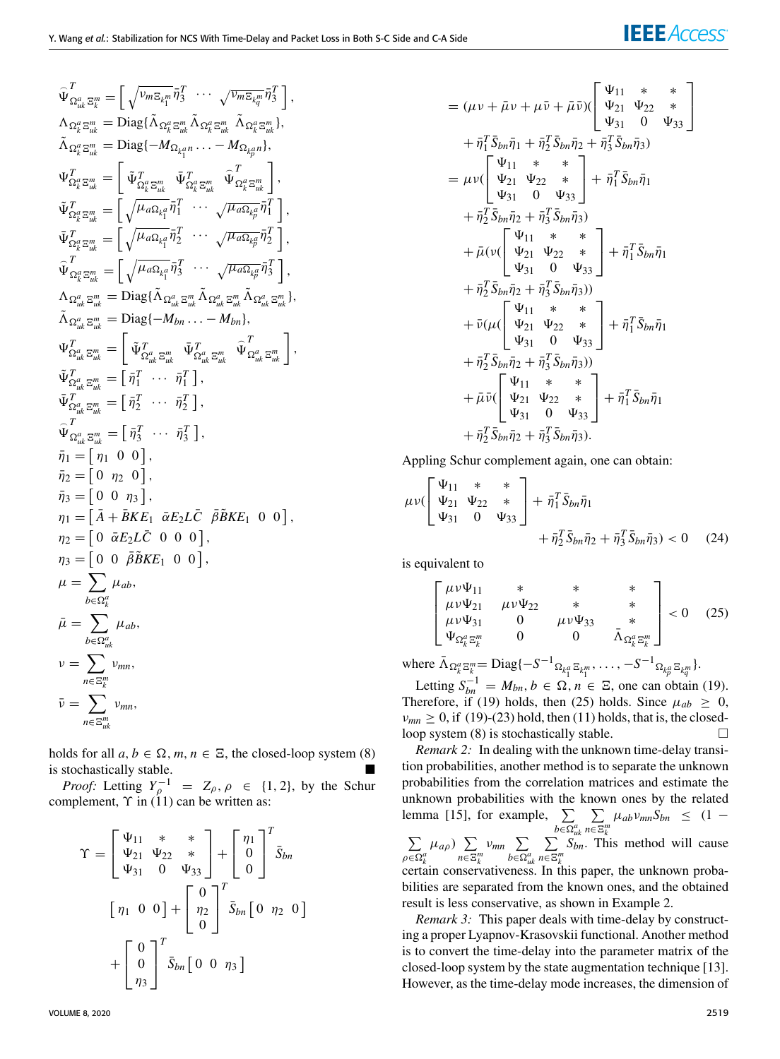$$
\begin{aligned}\n\widehat{\Psi}_{\Omega_{uk}^a \Xi_k^m}^T &= \left[ \sqrt{\nu_{m\Xi_{k_1^m}}} \bar{\eta}_3^T \cdots \sqrt{\nu_{m\Xi_{k_q^m}}} \bar{\eta}_3^T \right], \\
\Lambda_{\Omega_k^a \Xi_{uk}^m} &= \text{Diag}\{\Lambda_{\Omega_k^a \Xi_{uk}^m} \tilde{\Lambda}_{\Omega_k^a \Xi_{uk}^m} \tilde{\Lambda}_{\Omega_k^a \Xi_{uk}^m} \}, \\
\widetilde{\Lambda}_{\Omega_k^a \Xi_{uk}^m} &= \left[ \tilde{\Psi}_{\Omega_k^a \Xi_{uk}^m}^T \bar{\Psi}_{\Omega_k^a \Xi_{uk}^m} \tilde{\Psi}_{\Omega_k^a \Xi_{uk}^m}^T \right], \\
\widetilde{\Psi}_{\Omega_k^a \Xi_{uk}^m}^T &= \left[ \sqrt{\mu_{a\Omega_{k_1^a}} \bar{\eta}_1^T \cdots \sqrt{\mu_{a\Omega_{k_p^a}} \bar{\eta}_1^T} \right], \\
\widetilde{\Psi}_{\Omega_k^a \Xi_{uk}^m}^T &= \left[ \sqrt{\mu_{a\Omega_{k_1^a}} \bar{\eta}_2^T \cdots \sqrt{\mu_{a\Omega_{k_p^a}} \bar{\eta}_1^T} \right], \\
\widetilde{\Psi}_{\Omega_k^a \Xi_{uk}^m}^T &= \left[ \sqrt{\mu_{a\Omega_{k_1^a}} \bar{\eta}_2^T \cdots \sqrt{\mu_{a\Omega_{k_p^a}} \bar{\eta}_2^T} \right], \\
\Lambda_{\Omega_{uk}^a \Xi_{uk}^m} &= \text{Diag}\{\tilde{\Lambda}_{\Omega_{uk}^a \Xi_{uk}^m} \tilde{\Lambda}_{\Omega_{uk}^a \Xi_{uk}^m} \tilde{\Lambda}_{\Omega_{uk}^a \Xi_{uk}^m} \}, \\
\widetilde{\Lambda}_{\Omega_{uk}^a \Xi_{uk}^m}^T &= \left[ \tilde{\Psi}_{\Omega_{uk}^a \Xi_{uk}^m}^T \tilde{\Psi}_{\Omega_{uk}^a \Xi_{uk}^m} \tilde{\Lambda}_{\Omega_{uk}^a \Xi_{uk}^m} \right], \\
\widetilde{\Psi}_{\Omega_{uk}^a \Xi_{uk}^m}^T &= \left[ \tilde{\eta}_1^T \cdots \tilde{\eta}_1^T \right], \\
\widetilde{\Psi}_{\Omega_{uk}^a \Xi_{uk}^m}^T &= \left[ \tilde
$$

holds for all  $a, b \in \Omega$ ,  $m, n \in \Xi$ , the closed-loop system [\(8\)](#page-2-4) is stochastically stable.

*Proof:* Letting  $Y_{\rho}^{-1} = Z_{\rho}, \rho \in \{1, 2\}$ , by the Schur complement,  $\Upsilon$  in [\(11\)](#page-3-2) can be written as:

$$
\Upsilon = \begin{bmatrix} \Psi_{11} & * & * \\ \Psi_{21} & \Psi_{22} & * \\ \Psi_{31} & 0 & \Psi_{33} \end{bmatrix} + \begin{bmatrix} \eta_1 \\ 0 \\ 0 \end{bmatrix}^T \bar{S}_{bn} \n\begin{bmatrix} \eta_1 & 0 & 0 \end{bmatrix} + \begin{bmatrix} 0 \\ \eta_2 \\ 0 \end{bmatrix}^T \bar{S}_{bn} \begin{bmatrix} 0 & \eta_2 & 0 \end{bmatrix} \n+ \begin{bmatrix} 0 \\ 0 \\ \eta_3 \end{bmatrix}^T \bar{S}_{bn} \begin{bmatrix} 0 & 0 & \eta_3 \end{bmatrix}
$$

$$
= (\mu v + \bar{\mu}v + \mu \bar{v} + \bar{\mu} \bar{v}) (\begin{bmatrix} \Psi_{11} & * & * \\ \Psi_{21} & \Psi_{22} & * \\ \Psi_{31} & 0 & \Psi_{33} \end{bmatrix})
$$
  
+  $\bar{\eta}_{1}^{T} \bar{S}_{bn} \bar{\eta}_{1} + \bar{\eta}_{2}^{T} \bar{S}_{bn} \bar{\eta}_{2} + \bar{\eta}_{3}^{T} \bar{S}_{bn} \bar{\eta}_{3})$   
=  $\mu v (\begin{bmatrix} \Psi_{11} & * & * \\ \Psi_{21} & \Psi_{22} & * \\ \Psi_{31} & 0 & \Psi_{33} \end{bmatrix} + \bar{\eta}_{1}^{T} \bar{S}_{bn} \bar{\eta}_{1})$   
+  $\bar{\eta}_{2}^{T} \bar{S}_{bn} \bar{\eta}_{2} + \bar{\eta}_{3}^{T} \bar{S}_{bn} \bar{\eta}_{3})$   
+  $\bar{\mu} (v (\begin{bmatrix} \Psi_{11} & * & * \\ \Psi_{21} & \Psi_{22} & * \\ \Psi_{31} & 0 & \Psi_{33} \end{bmatrix} + \bar{\eta}_{1}^{T} \bar{S}_{bn} \bar{\eta}_{1})$   
+  $\bar{\eta}_{2}^{T} \bar{S}_{bn} \bar{\eta}_{2} + \bar{\eta}_{3}^{T} \bar{S}_{bn} \bar{\eta}_{3})$ )  
+  $\bar{\nu} (\mu (\begin{bmatrix} \Psi_{11} & * & * \\ \Psi_{21} & \Psi_{22} & * \\ \Psi_{31} & 0 & \Psi_{33} \end{bmatrix} + \bar{\eta}_{1}^{T} \bar{S}_{bn} \bar{\eta}_{1})$   
+  $\bar{\eta}_{2}^{T} \bar{S}_{bn} \bar{\eta}_{2} + \bar{\eta}_{3}^{T} \bar{S}_{bn} \bar{\eta}_{3})$ )  
+  $\bar{\mu} \bar{v} (\begin{bmatrix} \Psi_{11} & * & * \\ \Psi_{21} & \Psi_{22} & * \\ \Psi_{31} & 0 & \Psi_{33} \end{bmatrix} + \bar{\eta}_{1}^{T} \bar{S}_{bn} \bar{\eta}_{1})$   
+  $\bar{\eta}_{2}^{T} \bar{S}_{bn} \bar{\eta}_{2} + \bar{\eta}_{3}^{T} \bar{S}_{bn$ 

Appling Schur complement again, one can obtain:

$$
\mu v \begin{bmatrix} \Psi_{11} & * & * \\ \Psi_{21} & \Psi_{22} & * \\ \Psi_{31} & 0 & \Psi_{33} \end{bmatrix} + \bar{\eta}_1^T \bar{S}_{bn} \bar{\eta}_1 + \bar{\eta}_2^T \bar{S}_{bn} \bar{\eta}_2 + \bar{\eta}_3^T \bar{S}_{bn} \bar{\eta}_3) < 0 \quad (24)
$$

is equivalent to

<span id="page-6-0"></span>
$$
\begin{bmatrix}\n\mu\nu\Psi_{11} & * & * & * \\
\mu\nu\Psi_{21} & \mu\nu\Psi_{22} & * & * \\
\mu\nu\Psi_{31} & 0 & \mu\nu\Psi_{33} & * \\
\Psi_{\Omega_k^a \Xi_k^m} & 0 & 0 & \bar{\Lambda}_{\Omega_k^a \Xi_k^m}\n\end{bmatrix} < 0 \quad (25)
$$

where  $\bar{\Lambda}_{\Omega_k^a} \mathbb{E}_k^m = \text{Diag}\{-S^{-1} \Omega_{k_1^a} \mathbb{E}_{k_1^m}, \dots, -S^{-1} \Omega_{k_p^a} \mathbb{E}_{k_q^m}\}.$ 

Letting  $S_{bn}^{-1} = M_{bn}, b \in \Omega, n \in \mathbb{Z}$ , one can obtain [\(19\)](#page-5-2). Therefore, if [\(19\)](#page-5-2) holds, then [\(25\)](#page-6-0) holds. Since  $\mu_{ab} \geq 0$ ,  $\nu_{mn} \geq 0$ , if [\(19\)](#page-5-2)-[\(23\)](#page-5-2) hold, then [\(11\)](#page-3-2) holds, that is, the closedloop system  $(8)$  is stochastically stable.

*Remark 2:* In dealing with the unknown time-delay transition probabilities, another method is to separate the unknown probabilities from the correlation matrices and estimate the unknown probabilities with the known ones by the related lemma [15], for example,  $\Sigma$ *b*∈*<sup>a</sup> uk*  $\sum$  $n\overline{∈E}$ <sup>*m*</sup><sub>*k*</sub>  $\mu_{ab}v_{mn}S_{bn} \leq (1 \sum$  $\rho \overline{\in} \Omega_k^a$  $\mu_{a\rho}$ )  $\sum$  $n\overline{∈E}$ <sup>*m*</sup><sub>*k*</sub>  $v_{mn} \sum$ *b*∈*<sup>a</sup> uk*  $\sum$  $n\overline{∈E}$ <sup>*m*</sup><sub>*k*</sub> *Sbn*. This method will cause certain conservativeness. In this paper, the unknown proba-

bilities are separated from the known ones, and the obtained result is less conservative, as shown in Example 2.

*Remark 3:* This paper deals with time-delay by constructing a proper Lyapnov-Krasovskii functional. Another method is to convert the time-delay into the parameter matrix of the closed-loop system by the state augmentation technique [13]. However, as the time-delay mode increases, the dimension of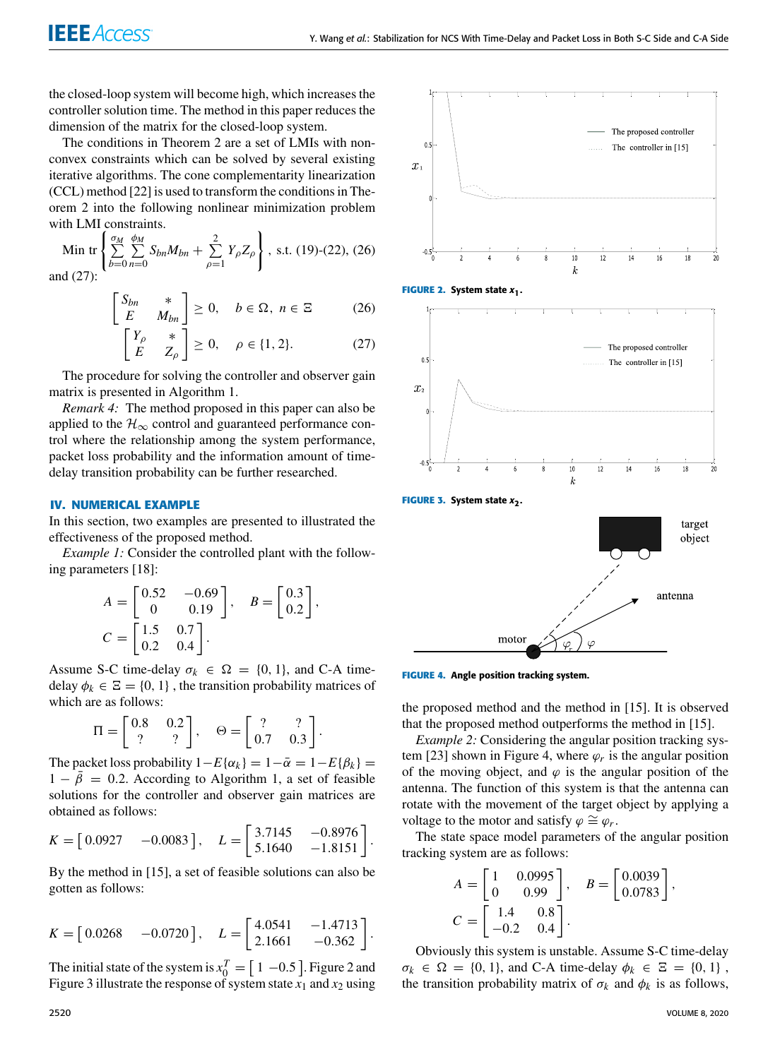the closed-loop system will become high, which increases the controller solution time. The method in this paper reduces the dimension of the matrix for the closed-loop system.

The conditions in Theorem [2](#page-5-1) are a set of LMIs with nonconvex constraints which can be solved by several existing iterative algorithms. The cone complementarity linearization (CCL) method [22] is used to transform the conditions in Theorem [2](#page-5-1) into the following nonlinear minimization problem with LMI constraints.

Min tr 
$$
\left\{ \sum_{b=0}^{M} \sum_{n=0}^{b_M} S_{bn} M_{bn} + \sum_{\rho=1}^{2} Y_{\rho} Z_{\rho} \right\}
$$
, s.t. (19)-(22), (26)  
and (27):

<span id="page-7-1"></span>
$$
\begin{bmatrix} S_{bn} & * \\ E & M_{bn} \end{bmatrix} \ge 0, \quad b \in \Omega, \ n \in \Xi \tag{26}
$$

$$
\begin{bmatrix} Y_{\rho} & * \\ E & Z_{\rho} \end{bmatrix} \ge 0, \quad \rho \in \{1, 2\}. \tag{27}
$$

The procedure for solving the controller and observer gain matrix is presented in Algorithm [1.](#page-8-1)

*Remark 4:* The method proposed in this paper can also be applied to the  $\mathcal{H}_{\infty}$  control and guaranteed performance control where the relationship among the system performance, packet loss probability and the information amount of timedelay transition probability can be further researched.

# <span id="page-7-0"></span>**IV. NUMERICAL EXAMPLE**

In this section, two examples are presented to illustrated the effectiveness of the proposed method.

*Example 1:* Consider the controlled plant with the following parameters [18]:

$$
A = \begin{bmatrix} 0.52 & -0.69 \\ 0 & 0.19 \end{bmatrix}, \quad B = \begin{bmatrix} 0.3 \\ 0.2 \end{bmatrix},
$$
  

$$
C = \begin{bmatrix} 1.5 & 0.7 \\ 0.2 & 0.4 \end{bmatrix}.
$$

Assume S-C time-delay  $\sigma_k \in \Omega = \{0, 1\}$ , and C-A timedelay  $\phi_k \in \Xi = \{0, 1\}$ , the transition probability matrices of which are as follows:

$$
\Pi = \begin{bmatrix} 0.8 & 0.2 \\ ? & ? \end{bmatrix}, \quad \Theta = \begin{bmatrix} ? & ? \\ 0.7 & 0.3 \end{bmatrix}.
$$

The packet loss probability  $1-E{\alpha_k} = 1-\bar{\alpha} = 1-E{\beta_k} =$  $1 - \bar{\beta} = 0.2$ . According to Algorithm [1,](#page-8-1) a set of feasible solutions for the controller and observer gain matrices are obtained as follows:

$$
K = \begin{bmatrix} 0.0927 & -0.0083 \end{bmatrix}, \quad L = \begin{bmatrix} 3.7145 & -0.8976 \\ 5.1640 & -1.8151 \end{bmatrix}.
$$

By the method in [15], a set of feasible solutions can also be gotten as follows:

$$
K = \begin{bmatrix} 0.0268 & -0.0720 \end{bmatrix}, \quad L = \begin{bmatrix} 4.0541 & -1.4713 \\ 2.1661 & -0.362 \end{bmatrix}
$$

.

The initial state of the system is  $x_0^T = [1 -0.5]$ . Figure [2](#page-7-2) and Figure [3](#page-7-3) illustrate the response of system state  $x_1$  and  $x_2$  using



<span id="page-7-2"></span>



<span id="page-7-4"></span><span id="page-7-3"></span>motor

the proposed method and the method in [15]. It is observed that the proposed method outperforms the method in [15].

*Example 2:* Considering the angular position tracking sys-tem [23] shown in Figure [4,](#page-7-4) where  $\varphi_r$  is the angular position of the moving object, and  $\varphi$  is the angular position of the antenna. The function of this system is that the antenna can rotate with the movement of the target object by applying a voltage to the motor and satisfy  $\varphi \cong \varphi_r$ .

The state space model parameters of the angular position tracking system are as follows:

$$
A = \begin{bmatrix} 1 & 0.0995 \\ 0 & 0.99 \end{bmatrix}, \quad B = \begin{bmatrix} 0.0039 \\ 0.0783 \end{bmatrix},
$$

$$
C = \begin{bmatrix} 1.4 & 0.8 \\ -0.2 & 0.4 \end{bmatrix}.
$$

Obviously this system is unstable. Assume S-C time-delay  $\sigma_k \in \Omega = \{0, 1\}$ , and C-A time-delay  $\phi_k \in \Xi = \{0, 1\}$ , the transition probability matrix of  $\sigma_k$  and  $\phi_k$  is as follows,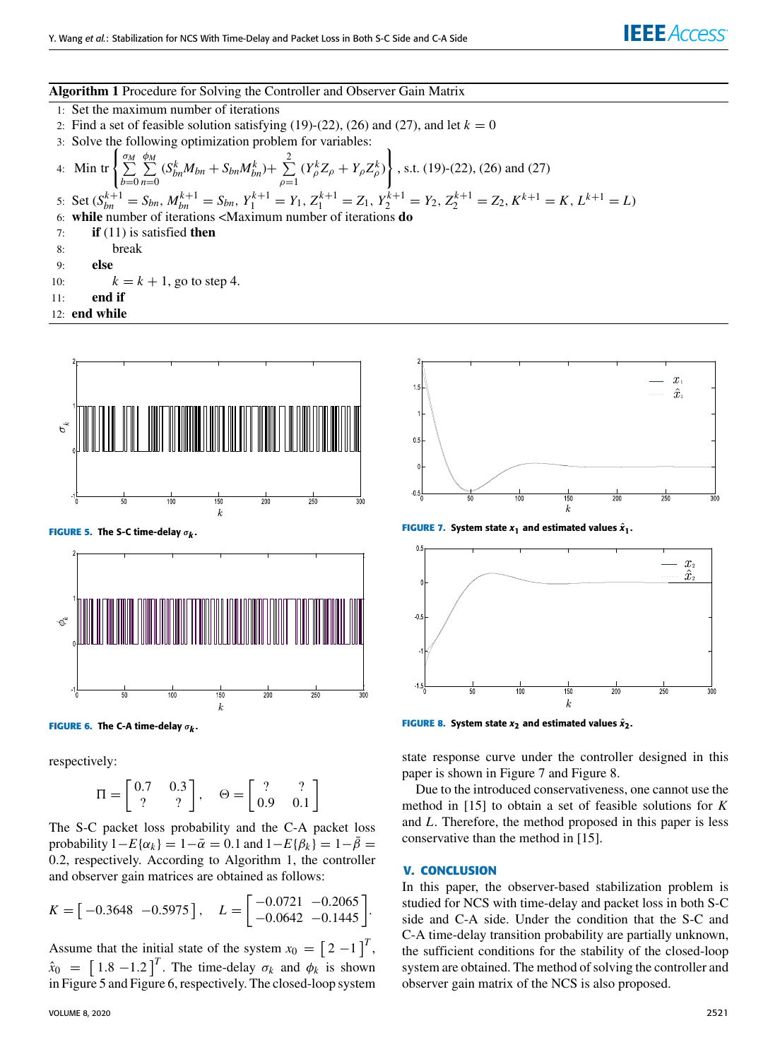# **Algorithm 1** Procedure for Solving the Controller and Observer Gain Matrix

- <span id="page-8-1"></span>1: Set the maximum number of iterations
- 2: Find a set of feasible solution satisfying  $(19)-(22)$  $(19)-(22)$  $(19)-(22)$ ,  $(26)$  and  $(27)$ , and let  $k = 0$
- 3: Solve the following optimization problem for variables:

4: Min tr 
$$
\left\{ \sum_{b=0}^{\sigma_M} \sum_{n=0}^{\phi_M} (S_{bn}^k M_{bn} + S_{bn} M_{bn}^k) + \sum_{\rho=1}^2 (Y_{\rho}^k Z_{\rho} + Y_{\rho} Z_{\rho}^k) \right\}
$$
, s.t. (19)-(22), (26) and (27)  
\n5: Set  $(S_{bn}^{k+1} = S_{bn}, M_{bn}^{k+1} = S_{bn}, Y_1^{k+1} = Y_1, Z_1^{k+1} = Z_1, Y_2^{k+1} = Y_2, Z_2^{k+1} = Z_2, K^{k+1} = K, L^{k+1} = L)$   
\n6: while number of iterations *AAximum* number of iterations **do**  
\n7: if (11) is satisfied **then**

- 8: break
- 9: **else**
- 10:  $k = k + 1$ , go to step [4.](#page-8-1)
- 11: **end if**
- 12: **end while**



**FIGURE 6.** The C-A time-delay  $\sigma_{\bm{k}}$ .

respectively:

$$
\Pi = \begin{bmatrix} 0.7 & 0.3 \\ ? & ? \end{bmatrix}, \quad \Theta = \begin{bmatrix} ? & ? \\ 0.9 & 0.1 \end{bmatrix}
$$

The S-C packet loss probability and the C-A packet loss probability  $1-E{\alpha_k} = 1-\bar{\alpha} = 0.1$  and  $1-E{\beta_k} = 1-\bar{\beta} =$ 0.2, respectively. According to Algorithm [1,](#page-8-1) the controller and observer gain matrices are obtained as follows:

$$
K = \begin{bmatrix} -0.3648 & -0.5975 \end{bmatrix}, \quad L = \begin{bmatrix} -0.0721 & -0.2065 \\ -0.0642 & -0.1445 \end{bmatrix}.
$$

Assume that the initial state of the system  $x_0 = \begin{bmatrix} 2 & -1 \end{bmatrix}^T$ ,  $\hat{x}_0 = \left[1.8 - 1.2\right]^T$ . The time-delay  $\sigma_k$  and  $\phi_k$  is shown in Figure [5](#page-8-2) and Figure [6,](#page-8-3) respectively. The closed-loop system



<span id="page-8-4"></span><span id="page-8-2"></span>**FIGURE 7.** System state  $x_1$  and estimated values  $\hat{x}_1$ .



<span id="page-8-5"></span><span id="page-8-3"></span>**FIGURE 8.** System state  $x_2$  and estimated values  $\hat{x}_2$ .

state response curve under the controller designed in this paper is shown in Figure [7](#page-8-4) and Figure [8.](#page-8-5)

Due to the introduced conservativeness, one cannot use the method in [15] to obtain a set of feasible solutions for *K* and *L*. Therefore, the method proposed in this paper is less conservative than the method in [15].

#### <span id="page-8-0"></span>**V. CONCLUSION**

In this paper, the observer-based stabilization problem is studied for NCS with time-delay and packet loss in both S-C side and C-A side. Under the condition that the S-C and C-A time-delay transition probability are partially unknown, the sufficient conditions for the stability of the closed-loop system are obtained. The method of solving the controller and observer gain matrix of the NCS is also proposed.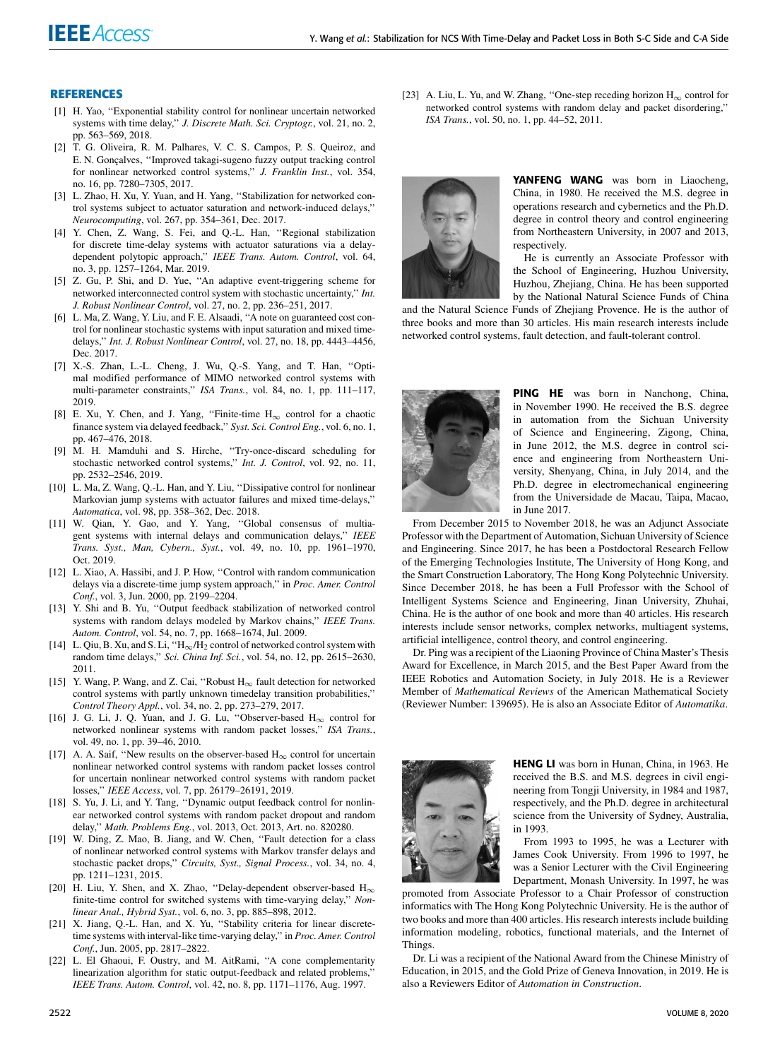### **REFERENCES**

- [1] H. Yao, ''Exponential stability control for nonlinear uncertain networked systems with time delay,'' *J. Discrete Math. Sci. Cryptogr.*, vol. 21, no. 2, pp. 563–569, 2018.
- [2] T. G. Oliveira, R. M. Palhares, V. C. S. Campos, P. S. Queiroz, and E. N. Gonçalves, ''Improved takagi-sugeno fuzzy output tracking control for nonlinear networked control systems,'' *J. Franklin Inst.*, vol. 354, no. 16, pp. 7280–7305, 2017.
- [3] L. Zhao, H. Xu, Y. Yuan, and H. Yang, ''Stabilization for networked control systems subject to actuator saturation and network-induced delays,'' *Neurocomputing*, vol. 267, pp. 354–361, Dec. 2017.
- [4] Y. Chen, Z. Wang, S. Fei, and Q.-L. Han, ''Regional stabilization for discrete time-delay systems with actuator saturations via a delaydependent polytopic approach,'' *IEEE Trans. Autom. Control*, vol. 64, no. 3, pp. 1257–1264, Mar. 2019.
- [5] Z. Gu, P. Shi, and D. Yue, ''An adaptive event-triggering scheme for networked interconnected control system with stochastic uncertainty,'' *Int. J. Robust Nonlinear Control*, vol. 27, no. 2, pp. 236–251, 2017.
- [6] L. Ma, Z. Wang, Y. Liu, and F. E. Alsaadi, ''A note on guaranteed cost control for nonlinear stochastic systems with input saturation and mixed timedelays,'' *Int. J. Robust Nonlinear Control*, vol. 27, no. 18, pp. 4443–4456, Dec. 2017.
- [7] X.-S. Zhan, L.-L. Cheng, J. Wu, Q.-S. Yang, and T. Han, ''Optimal modified performance of MIMO networked control systems with multi-parameter constraints,'' *ISA Trans.*, vol. 84, no. 1, pp. 111–117, 2019.
- [8] E. Xu, Y. Chen, and J. Yang, "Finite-time  $H_{\infty}$  control for a chaotic finance system via delayed feedback,'' *Syst. Sci. Control Eng.*, vol. 6, no. 1, pp. 467–476, 2018.
- [9] M. H. Mamduhi and S. Hirche, ''Try-once-discard scheduling for stochastic networked control systems,'' *Int. J. Control*, vol. 92, no. 11, pp. 2532–2546, 2019.
- [10] L. Ma, Z. Wang, Q.-L. Han, and Y. Liu, "Dissipative control for nonlinear Markovian jump systems with actuator failures and mixed time-delays,'' *Automatica*, vol. 98, pp. 358–362, Dec. 2018.
- [11] W. Qian, Y. Gao, and Y. Yang, ''Global consensus of multiagent systems with internal delays and communication delays,'' *IEEE Trans. Syst., Man, Cybern., Syst.*, vol. 49, no. 10, pp. 1961–1970, Oct. 2019.
- [12] L. Xiao, A. Hassibi, and J. P. How, "Control with random communication delays via a discrete-time jump system approach,'' in *Proc. Amer. Control Conf.*, vol. 3, Jun. 2000, pp. 2199–2204.
- [13] Y. Shi and B. Yu, "Output feedback stabilization of networked control systems with random delays modeled by Markov chains,'' *IEEE Trans. Autom. Control*, vol. 54, no. 7, pp. 1668–1674, Jul. 2009.
- [14] L. Qiu, B. Xu, and S. Li, " $H_{\infty}/H_2$  control of networked control system with random time delays,'' *Sci. China Inf. Sci.*, vol. 54, no. 12, pp. 2615–2630, 2011.
- [15] Y. Wang, P. Wang, and Z. Cai, ''Robust H∞ fault detection for networked control systems with partly unknown timedelay transition probabilities,'' *Control Theory Appl.*, vol. 34, no. 2, pp. 273–279, 2017.
- [16] J. G. Li, J. Q. Yuan, and J. G. Lu, "Observer-based  $H_{\infty}$  control for networked nonlinear systems with random packet losses,'' *ISA Trans.*, vol. 49, no. 1, pp. 39–46, 2010.
- [17] A. A. Saif, "New results on the observer-based  $H_{\infty}$  control for uncertain nonlinear networked control systems with random packet losses control for uncertain nonlinear networked control systems with random packet losses,'' *IEEE Access*, vol. 7, pp. 26179–26191, 2019.
- [18] S. Yu, J. Li, and Y. Tang, "Dynamic output feedback control for nonlinear networked control systems with random packet dropout and random delay,'' *Math. Problems Eng.*, vol. 2013, Oct. 2013, Art. no. 820280.
- [19] W. Ding, Z. Mao, B. Jiang, and W. Chen, ''Fault detection for a class of nonlinear networked control systems with Markov transfer delays and stochastic packet drops,'' *Circuits, Syst., Signal Process.*, vol. 34, no. 4, pp. 1211–1231, 2015.
- [20] H. Liu, Y. Shen, and X. Zhao, "Delay-dependent observer-based  $H_{\infty}$ finite-time control for switched systems with time-varying delay,'' *Nonlinear Anal., Hybrid Syst.*, vol. 6, no. 3, pp. 885–898, 2012.
- [21] X. Jiang, Q.-L. Han, and X. Yu, "Stability criteria for linear discretetime systems with interval-like time-varying delay,'' in *Proc. Amer. Control Conf.*, Jun. 2005, pp. 2817–2822.
- [22] L. El Ghaoui, F. Oustry, and M. AitRami, "A cone complementarity linearization algorithm for static output-feedback and related problems,'' *IEEE Trans. Autom. Control*, vol. 42, no. 8, pp. 1171–1176, Aug. 1997.

[23] A. Liu, L. Yu, and W. Zhang, "One-step receding horizon  $H_{\infty}$  control for networked control systems with random delay and packet disordering,'' *ISA Trans.*, vol. 50, no. 1, pp. 44–52, 2011.



YANFENG WANG was born in Liaocheng, China, in 1980. He received the M.S. degree in operations research and cybernetics and the Ph.D. degree in control theory and control engineering from Northeastern University, in 2007 and 2013, respectively.

He is currently an Associate Professor with the School of Engineering, Huzhou University, Huzhou, Zhejiang, China. He has been supported by the National Natural Science Funds of China

and the Natural Science Funds of Zhejiang Provence. He is the author of three books and more than 30 articles. His main research interests include networked control systems, fault detection, and fault-tolerant control.



PING HE was born in Nanchong, China, in November 1990. He received the B.S. degree in automation from the Sichuan University of Science and Engineering, Zigong, China, in June 2012, the M.S. degree in control science and engineering from Northeastern University, Shenyang, China, in July 2014, and the Ph.D. degree in electromechanical engineering from the Universidade de Macau, Taipa, Macao, in June 2017.

From December 2015 to November 2018, he was an Adjunct Associate Professor with the Department of Automation, Sichuan University of Science and Engineering. Since 2017, he has been a Postdoctoral Research Fellow of the Emerging Technologies Institute, The University of Hong Kong, and the Smart Construction Laboratory, The Hong Kong Polytechnic University. Since December 2018, he has been a Full Professor with the School of Intelligent Systems Science and Engineering, Jinan University, Zhuhai, China. He is the author of one book and more than 40 articles. His research interests include sensor networks, complex networks, multiagent systems, artificial intelligence, control theory, and control engineering.

Dr. Ping was a recipient of the Liaoning Province of China Master's Thesis Award for Excellence, in March 2015, and the Best Paper Award from the IEEE Robotics and Automation Society, in July 2018. He is a Reviewer Member of *Mathematical Reviews* of the American Mathematical Society (Reviewer Number: 139695). He is also an Associate Editor of *Automatika*.



HENG LI was born in Hunan, China, in 1963. He received the B.S. and M.S. degrees in civil engineering from Tongji University, in 1984 and 1987, respectively, and the Ph.D. degree in architectural science from the University of Sydney, Australia, in 1993.

From 1993 to 1995, he was a Lecturer with James Cook University. From 1996 to 1997, he was a Senior Lecturer with the Civil Engineering Department, Monash University. In 1997, he was

promoted from Associate Professor to a Chair Professor of construction informatics with The Hong Kong Polytechnic University. He is the author of two books and more than 400 articles. His research interests include building information modeling, robotics, functional materials, and the Internet of Things.

Dr. Li was a recipient of the National Award from the Chinese Ministry of Education, in 2015, and the Gold Prize of Geneva Innovation, in 2019. He is also a Reviewers Editor of *Automation in Construction*.